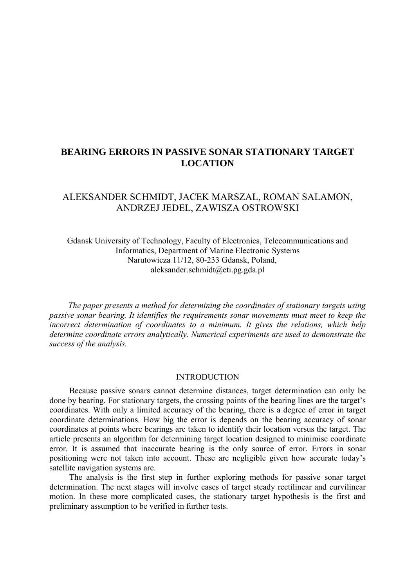# **BEARING ERRORS IN PASSIVE SONAR STATIONARY TARGET LOCATION**

## ALEKSANDER SCHMIDT, JACEK MARSZAL, ROMAN SALAMON, ANDRZEJ JEDEL, ZAWISZA OSTROWSKI

Gdansk University of Technology, Faculty of Electronics, Telecommunications and Informatics, Department of Marine Electronic Systems Narutowicza 11/12, 80-233 Gdansk, Poland, aleksander.schmidt@eti.pg.gda.pl

 *The paper presents a method for determining the coordinates of stationary targets using passive sonar bearing. It identifies the requirements sonar movements must meet to keep the incorrect determination of coordinates to a minimum. It gives the relations, which help determine coordinate errors analytically. Numerical experiments are used to demonstrate the success of the analysis.* 

#### INTRODUCTION

Because passive sonars cannot determine distances, target determination can only be done by bearing. For stationary targets, the crossing points of the bearing lines are the target's coordinates. With only a limited accuracy of the bearing, there is a degree of error in target coordinate determinations. How big the error is depends on the bearing accuracy of sonar coordinates at points where bearings are taken to identify their location versus the target. The article presents an algorithm for determining target location designed to minimise coordinate error. It is assumed that inaccurate bearing is the only source of error. Errors in sonar positioning were not taken into account. These are negligible given how accurate today's satellite navigation systems are.

The analysis is the first step in further exploring methods for passive sonar target determination. The next stages will involve cases of target steady rectilinear and curvilinear motion. In these more complicated cases, the stationary target hypothesis is the first and preliminary assumption to be verified in further tests.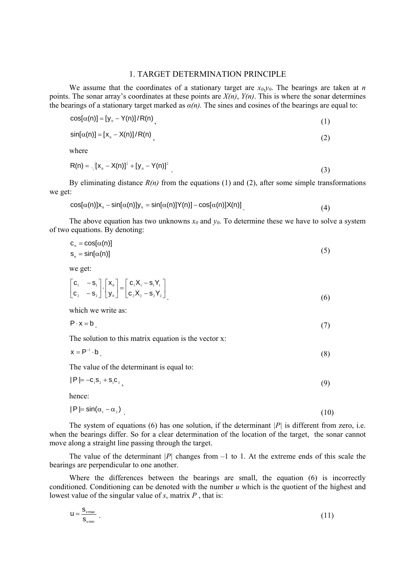#### 1. TARGET DETERMINATION PRINCIPLE

We assume that the coordinates of a stationary target are  $x_0, y_0$ . The bearings are taken at *n* points. The sonar array's coordinates at these points are  $X(n)$ ,  $Y(n)$ . This is where the sonar determines the bearings of a stationary target marked as  $\alpha(n)$ . The sines and cosines of the bearings are equal to:

$$
\cos[\alpha(n)] = [y_0 - Y(n)]/R(n)
$$
\n(1)

$$
\sin[\alpha(n)] = [x_0 - X(n)]/R(n)
$$
\n(2)

where

$$
R(n) = \sqrt{[x_0 - X(n)]^2 + [y_0 - Y(n)]^2}
$$
 (3)

By eliminating distance  $R(n)$  from the equations (1) and (2), after some simple transformations we get:

$$
\cos[\alpha(n)]x_0 - \sin[\alpha(n)]y_0 = \sin[\alpha(n)]Y(n)] - \cos[\alpha(n)]X(n)]
$$
\n(4)

The above equation has two unknowns  $x_0$  and  $y_0$ . To determine these we have to solve a system of two equations. By denoting:

$$
c_n = \cos[\alpha(n)]
$$
  
\n
$$
s_n = \sin[\alpha(n)]
$$
\n(5)

we get:

$$
\begin{bmatrix} \mathbf{c}_1 & -\mathbf{s}_1 \\ \mathbf{c}_2 & -\mathbf{s}_2 \end{bmatrix} \cdot \begin{bmatrix} \mathbf{x}_0 \\ \mathbf{y}_0 \end{bmatrix} = \begin{bmatrix} \mathbf{c}_1 \mathbf{X}_1 - \mathbf{s}_1 \mathbf{Y}_1 \\ \mathbf{c}_2 \mathbf{X}_2 - \mathbf{s}_2 \mathbf{Y}_2 \end{bmatrix} \tag{6}
$$

which we write as:

$$
P \cdot x = b \tag{7}
$$

The solution to this matrix equation is the vector x:

$$
x = P^{-1} \cdot b \tag{8}
$$

The value of the determinant is equal to:

$$
|\mathsf{P}| = -\mathsf{C}_1 \mathsf{S}_2 + \mathsf{S}_1 \mathsf{C}_2 \tag{9}
$$

hence:

$$
|P| = \sin(\alpha_1 - \alpha_2) \tag{10}
$$

The system of equations (6) has one solution, if the determinant  $|P|$  is different from zero, i.e. when the bearings differ. So for a clear determination of the location of the target, the sonar cannot move along a straight line passing through the target.

The value of the determinant  $|P|$  changes from  $-1$  to 1. At the extreme ends of this scale the bearings are perpendicular to one another.

Where the differences between the bearings are small, the equation (6) is incorrectly conditioned. Conditioning can be denoted with the number *u* which is the quotient of the highest and lowest value of the singular value of  $s_v$  matrix  $P$ , that is:

$$
u = \frac{s_{\text{vmax}}}{s_{\text{vmin}}} \tag{11}
$$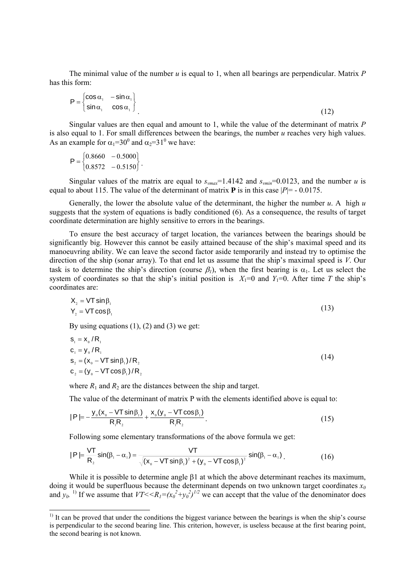The minimal value of the number *u* is equal to 1, when all bearings are perpendicular. Matrix *P* has this form:

$$
P = \begin{cases} \cos \alpha_1 & -\sin \alpha_1 \\ \sin \alpha_1 & \cos \alpha_1 \end{cases}
$$
 (12)

Singular values are then equal and amount to 1, while the value of the determinant of matrix *P* is also equal to 1. For small differences between the bearings, the number *u* reaches very high values. As an example for  $\alpha_1 = 30^0$  and  $\alpha_2 = 31^0$  we have:

$$
P = \begin{cases} 0.8660 & -0.5000 \\ 0.8572 & -0.5150 \end{cases}.
$$

Singular values of the matrix are equal to  $s_{vmax}$ =1.4142 and  $s_{vmin}$ =0.0123, and the number *u* is equal to about 115. The value of the determinant of matrix  $\bf{P}$  is in this case  $|P| = -0.0175$ .

Generally, the lower the absolute value of the determinant, the higher the number *u*. A high *u* suggests that the system of equations is badly conditioned (6). As a consequence, the results of target coordinate determination are highly sensitive to errors in the bearings.

To ensure the best accuracy of target location, the variances between the bearings should be significantly big. However this cannot be easily attained because of the ship's maximal speed and its manoeuvring ability. We can leave the second factor aside temporarily and instead try to optimise the direction of the ship (sonar array). To that end let us assume that the ship's maximal speed is *V*. Our task is to determine the ship's direction (course  $\beta_l$ ), when the first bearing is  $\alpha_l$ . Let us select the system of coordinates so that the ship's initial position is  $X_1=0$  and  $Y_1=0$ . After time *T* the ship's coordinates are:

$$
X_2 = VT \sin \beta_1
$$
  
\n
$$
Y_2 = VT \cos \beta_1
$$
\n(13)

By using equations  $(1)$ ,  $(2)$  and  $(3)$  we get:

 $\overline{a}$ 

$$
s_1 = x_0 / R_1
$$
  
\n
$$
c_1 = y_0 / R_1
$$
  
\n
$$
s_2 = (x_0 - VT \sin\beta_1) / R_2
$$
  
\n
$$
c_2 = (y_0 - VT \cos\beta_1) / R_2
$$
\n(14)

where  $R_1$  and  $R_2$  are the distances between the ship and target.

The value of the determinant of matrix P with the elements identified above is equal to:

$$
|P| = -\frac{y_0(x_0 - VT \sin\beta_1)}{R_1 R_2} + \frac{x_0(y_0 - VT \cos\beta_1)}{R_1 R_2}.
$$
\n(15)

Following some elementary transformations of the above formula we get:

$$
|P| = \frac{VT}{R_2} \sin(\beta_1 - \alpha_1) = \frac{VT}{\sqrt{(x_0 - VT \sin \beta_1)^2 + (y_0 - VT \cos \beta_1)^2}} \sin(\beta_1 - \alpha_1)
$$
 (16)

While it is possible to determine angle β1 at which the above determinant reaches its maximum, doing it would be superfluous because the determinant depends on two unknown target coordinates  $x_0$ and  $y_0$ . <sup>1)</sup> If we assume that  $VT < R_1 = (x_0^2 + y_0^2)^{1/2}$  we can accept that the value of the denominator does

 $<sup>1</sup>$  It can be proved that under the conditions the biggest variance between the bearings is when the ship's course</sup> is perpendicular to the second bearing line. This criterion, however, is useless because at the first bearing point, the second bearing is not known.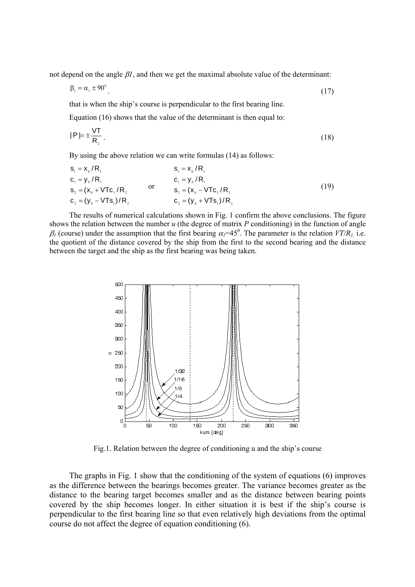not depend on the angle  $\beta l$ , and then we get the maximal absolute value of the determinant:

$$
\beta_1 = \alpha_1 \pm 90^\circ \tag{17}
$$

that is when the ship's course is perpendicular to the first bearing line.

Equation (16) shows that the value of the determinant is then equal to:

$$
|\mathsf{P}| = \pm \frac{\mathsf{V}\mathsf{T}}{\mathsf{R}_2} \,. \tag{18}
$$

By using the above relation we can write formulas (14) as follows:

$$
s_{1} = x_{0} / R_{1}
$$
\n
$$
c_{1} = y_{0} / R_{1}
$$
\n
$$
s_{2} = (x_{0} + VTC_{1} / R_{2})
$$
\n
$$
c_{3} = (y_{0} - VTS_{1}) / R_{2}
$$
\n
$$
c_{4} = y_{0} / R_{1}
$$
\n
$$
s_{5} = (x_{0} - VTC_{1} / R_{2})
$$
\n
$$
c_{6} = (y_{0} - VTS_{1}) / R_{2}
$$
\n
$$
c_{7} = (y_{0} + VTS_{1}) / R_{2}
$$
\n
$$
(19)
$$

The results of numerical calculations shown in Fig. 1 confirm the above conclusions. The figure shows the relation between the number *u* (the degree of matrix *P* conditioning) in the function of angle  $\beta_l$  (course) under the assumption that the first bearing  $\alpha_l$ =45<sup>0</sup>. The parameter is the relation  $VT/R_l$ , i.e. the quotient of the distance covered by the ship from the first to the second bearing and the distance between the target and the ship as the first bearing was being taken.



Fig.1. Relation between the degree of conditioning u and the ship's course

The graphs in Fig. 1 show that the conditioning of the system of equations (6) improves as the difference between the bearings becomes greater. The variance becomes greater as the distance to the bearing target becomes smaller and as the distance between bearing points covered by the ship becomes longer. In either situation it is best if the ship's course is perpendicular to the first bearing line so that even relatively high deviations from the optimal course do not affect the degree of equation conditioning (6).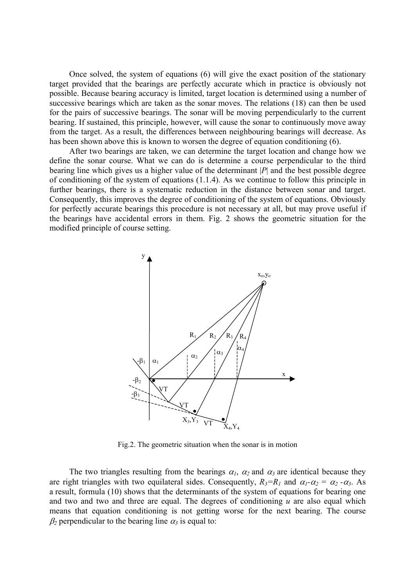Once solved, the system of equations (6) will give the exact position of the stationary target provided that the bearings are perfectly accurate which in practice is obviously not possible. Because bearing accuracy is limited, target location is determined using a number of successive bearings which are taken as the sonar moves. The relations (18) can then be used for the pairs of successive bearings. The sonar will be moving perpendicularly to the current bearing. If sustained, this principle, however, will cause the sonar to continuously move away from the target. As a result, the differences between neighbouring bearings will decrease. As has been shown above this is known to worsen the degree of equation conditioning (6).

After two bearings are taken, we can determine the target location and change how we define the sonar course. What we can do is determine a course perpendicular to the third bearing line which gives us a higher value of the determinant |*P*| and the best possible degree of conditioning of the system of equations (1.1.4). As we continue to follow this principle in further bearings, there is a systematic reduction in the distance between sonar and target. Consequently, this improves the degree of conditioning of the system of equations. Obviously for perfectly accurate bearings this procedure is not necessary at all, but may prove useful if the bearings have accidental errors in them. Fig. 2 shows the geometric situation for the modified principle of course setting.



Fig.2. The geometric situation when the sonar is in motion

The two triangles resulting from the bearings  $\alpha_l$ ,  $\alpha_2$  and  $\alpha_3$  are identical because they are right triangles with two equilateral sides. Consequently,  $R_3=R_1$  and  $\alpha_1-\alpha_2=\alpha_2-\alpha_3$ . As a result, formula (10) shows that the determinants of the system of equations for bearing one and two and two and three are equal. The degrees of conditioning *u* are also equal which means that equation conditioning is not getting worse for the next bearing. The course  $\beta_2$  perpendicular to the bearing line  $\alpha_3$  is equal to: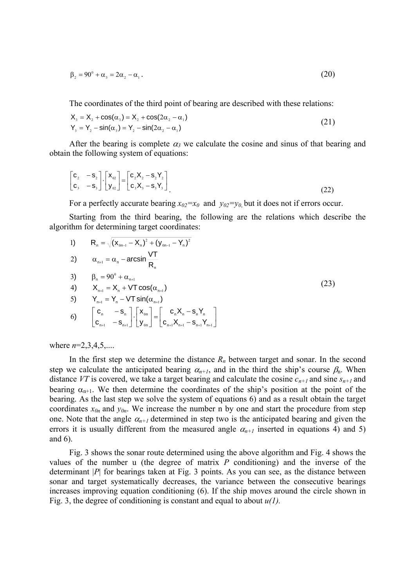$$
\beta_2 = 90^{\circ} + \alpha_3 = 2\alpha_2 - \alpha_1. \tag{20}
$$

The coordinates of the third point of bearing are described with these relations:

$$
X3 = X2 + cos(\alpha3) = X2 + cos(2\alpha2 - \alpha1)
$$
  
\n
$$
Y3 = Y2 - sin(\alpha3) = Y2 - sin(2\alpha2 - \alpha1)
$$
\n(21)

After the bearing is complete  $\alpha_3$  we calculate the cosine and sinus of that bearing and obtain the following system of equations:

$$
\begin{bmatrix} c_2 & -s_2 \ c_3 & -s_3 \end{bmatrix} \cdot \begin{bmatrix} x_{02} \ y_{02} \end{bmatrix} = \begin{bmatrix} c_2X_2 - s_2Y_2 \ c_3X_3 - s_3Y_3 \end{bmatrix}
$$
 (22)

For a perfectly accurate bearing  $x_0 = x_0$  and  $y_0 = y_0$  but it does not if errors occur.

Starting from the third bearing, the following are the relations which describe the algorithm for determining target coordinates:

1) 
$$
R_{n} = \sqrt{(x_{0n-1} - X_{n})^{2} + (y_{0n-1} - Y_{n})^{2}}
$$
  
\n2) 
$$
\alpha_{n+1} = \alpha_{n} - \arcsin \frac{VT}{R_{n}}
$$
  
\n3) 
$$
\beta_{n} = 90^{0} + \alpha_{n+1}
$$
  
\n4) 
$$
X_{n+1} = X_{n} + VT \cos(\alpha_{n+1})
$$
  
\n5) 
$$
Y_{n+1} = Y_{n} - VT \sin(\alpha_{n+1})
$$
  
\n6) 
$$
\begin{bmatrix} C_{n} & -S_{n} \ C_{n+1} & -S_{n+1} \end{bmatrix} \cdot \begin{bmatrix} x_{0n} \ Y_{0n} \end{bmatrix} = \begin{bmatrix} C_{n}X_{n} - S_{n}Y_{n} \ C_{n+1}X_{n+1} - S_{n+1}Y_{n+1} \end{bmatrix}
$$

where *n*=2,3,4,5,....

In the first step we determine the distance  $R_n$  between target and sonar. In the second step we calculate the anticipated bearing  $\alpha_{n+1}$ , and in the third the ship's course  $\beta_n$ . When distance *VT* is covered, we take a target bearing and calculate the cosine  $c_{n+1}$  and sine  $s_{n+1}$  and bearing  $\alpha_{n+1}$ . We then determine the coordinates of the ship's position at the point of the bearing. As the last step we solve the system of equations 6) and as a result obtain the target coordinates  $x_{0n}$  and  $y_{0n}$ . We increase the number n by one and start the procedure from step one. Note that the angle  $\alpha_{n+1}$  determined in step two is the anticipated bearing and given the errors it is usually different from the measured angle  $\alpha_{n+1}$  inserted in equations 4) and 5) and 6).

Fig. 3 shows the sonar route determined using the above algorithm and Fig. 4 shows the values of the number u (the degree of matrix *P* conditioning) and the inverse of the determinant |*P*| for bearings taken at Fig. 3 points. As you can see, as the distance between sonar and target systematically decreases, the variance between the consecutive bearings increases improving equation conditioning (6). If the ship moves around the circle shown in Fig. 3, the degree of conditioning is constant and equal to about *u(1).*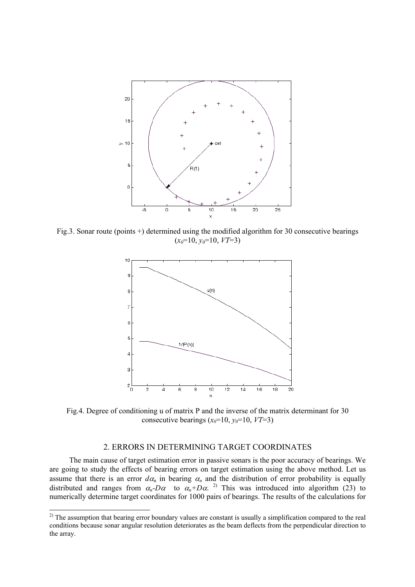

Fig.3. Sonar route (points +) determined using the modified algorithm for 30 consecutive bearings  $(x_0=10, y_0=10, VT=3)$ 



Fig.4. Degree of conditioning u of matrix P and the inverse of the matrix determinant for 30 consecutive bearings  $(x_0=10, y_0=10, VT=3)$ 

### 2. ERRORS IN DETERMINING TARGET COORDINATES

The main cause of target estimation error in passive sonars is the poor accuracy of bearings. We are going to study the effects of bearing errors on target estimation using the above method. Let us assume that there is an error  $d\alpha_n$  in bearing  $\alpha_n$  and the distribution of error probability is equally distributed and ranges from  $\alpha_n$ -D $\alpha$  to  $\alpha_n$ +D $\alpha$ .<sup>2)</sup> This was introduced into algorithm (23) to numerically determine target coordinates for 1000 pairs of bearings. The results of the calculations for

 $\overline{a}$ 

 $^{2)}$  The assumption that bearing error boundary values are constant is usually a simplification compared to the real conditions because sonar angular resolution deteriorates as the beam deflects from the perpendicular direction to the array.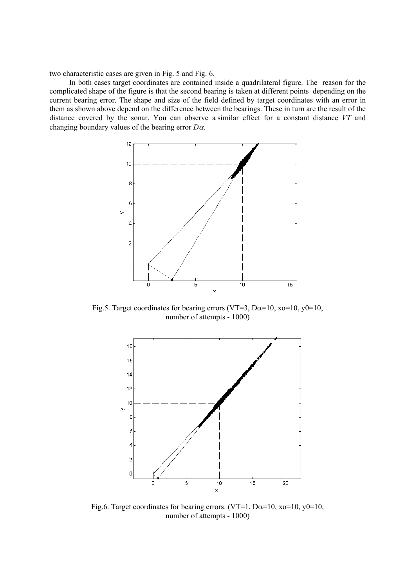two characteristic cases are given in Fig. 5 and Fig. 6.

In both cases target coordinates are contained inside a quadrilateral figure. The reason for the complicated shape of the figure is that the second bearing is taken at different points depending on the current bearing error. The shape and size of the field defined by target coordinates with an error in them as shown above depend on the difference between the bearings. These in turn are the result of the distance covered by the sonar. You can observe a similar effect for a constant distance *VT* and changing boundary values of the bearing error *D*α.



Fig.5. Target coordinates for bearing errors (VT=3, D $\alpha$ =10, xo=10, y0=10, number of attempts - 1000)



Fig.6. Target coordinates for bearing errors. (VT=1, D $\alpha$ =10, xo=10, y0=10, number of attempts - 1000)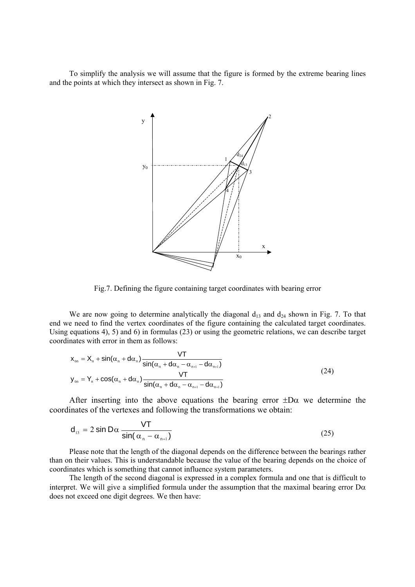To simplify the analysis we will assume that the figure is formed by the extreme bearing lines and the points at which they intersect as shown in Fig. 7.



Fig.7. Defining the figure containing target coordinates with bearing error

We are now going to determine analytically the diagonal  $d_{13}$  and  $d_{24}$  shown in Fig. 7. To that end we need to find the vertex coordinates of the figure containing the calculated target coordinates. Using equations 4), 5) and 6) in formulas (23) or using the geometric relations, we can describe target coordinates with error in them as follows:

$$
x_{0n} = X_n + \sin(\alpha_n + d\alpha_n) \frac{VT}{\sin(\alpha_n + d\alpha_n - \alpha_{n+1} - d\alpha_{n+1})}
$$
  

$$
y_{0n} = Y_n + \cos(\alpha_n + d\alpha_n) \frac{VT}{\sin(\alpha_n + d\alpha_n - \alpha_{n+1} - d\alpha_{n+1})}
$$
 (24)

After inserting into the above equations the bearing error  $\pm D\alpha$  we determine the coordinates of the vertexes and following the transformations we obtain:

$$
d_{13} = 2 \sin D\alpha \frac{VT}{\sin(\alpha_n - \alpha_{n+1})}
$$
 (25)

Please note that the length of the diagonal depends on the difference between the bearings rather than on their values. This is understandable because the value of the bearing depends on the choice of coordinates which is something that cannot influence system parameters.

The length of the second diagonal is expressed in a complex formula and one that is difficult to interpret. We will give a simplified formula under the assumption that the maximal bearing error  $D\alpha$ does not exceed one digit degrees. We then have: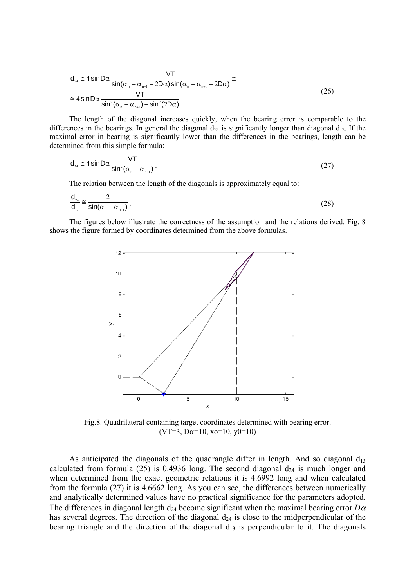$$
d_{_{24}} \cong 4 \sin D\alpha \frac{VT}{\sin(\alpha_{_{n}} - \alpha_{_{n+1}} - 2D\alpha) \sin(\alpha_{_{n}} - \alpha_{_{n+1}} + 2D\alpha)} \cong
$$
  

$$
\cong 4 \sin D\alpha \frac{VT}{\sin^{2}(\alpha_{_{n}} - \alpha_{_{n+1}}) - \sin^{2}(2D\alpha)}
$$
 (26)

The length of the diagonal increases quickly, when the bearing error is comparable to the differences in the bearings. In general the diagonal  $d_{24}$  is significantly longer than diagonal  $d_{12}$ . If the maximal error in bearing is significantly lower than the differences in the bearings, length can be determined from this simple formula:

$$
d_{24} \approx 4 \sin D\alpha \frac{VT}{\sin^2(\alpha_n - \alpha_{n+1})} \,. \tag{27}
$$

The relation between the length of the diagonals is approximately equal to:

$$
\frac{\mathsf{d}_{24}}{\mathsf{d}_{12}} \cong \frac{2}{\sin(\alpha_n - \alpha_{n+1})} \,. \tag{28}
$$

The figures below illustrate the correctness of the assumption and the relations derived. Fig. 8 shows the figure formed by coordinates determined from the above formulas.



Fig.8. Quadrilateral containing target coordinates determined with bearing error. (VT=3, D $\alpha$ =10, x $\alpha$ =10, y $\theta$ =10)

As anticipated the diagonals of the quadrangle differ in length. And so diagonal  $d_{13}$ calculated from formula (25) is 0.4936 long. The second diagonal  $d_{24}$  is much longer and when determined from the exact geometric relations it is 4.6992 long and when calculated from the formula (27) it is 4.6662 long. As you can see, the differences between numerically and analytically determined values have no practical significance for the parameters adopted. The differences in diagonal length  $d_{24}$  become significant when the maximal bearing error  $D\alpha$ has several degrees. The direction of the diagonal  $d_{24}$  is close to the midperpendicular of the bearing triangle and the direction of the diagonal  $d_{13}$  is perpendicular to it. The diagonals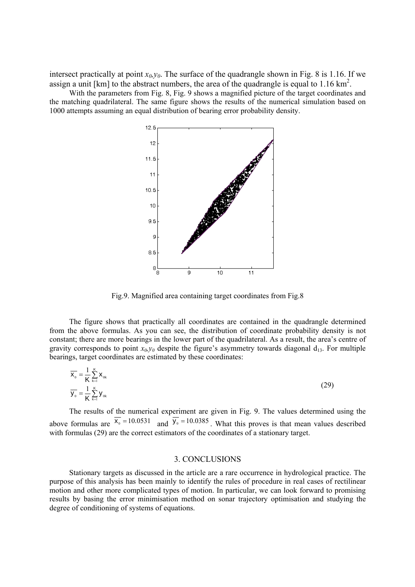intersect practically at point  $x_0, y_0$ . The surface of the quadrangle shown in Fig. 8 is 1.16. If we assign a unit [km] to the abstract numbers, the area of the quadrangle is equal to  $1.16 \text{ km}^2$ .

With the parameters from Fig. 8, Fig. 9 shows a magnified picture of the target coordinates and the matching quadrilateral. The same figure shows the results of the numerical simulation based on 1000 attempts assuming an equal distribution of bearing error probability density.



Fig.9. Magnified area containing target coordinates from Fig.8

The figure shows that practically all coordinates are contained in the quadrangle determined from the above formulas. As you can see, the distribution of coordinate probability density is not constant; there are more bearings in the lower part of the quadrilateral. As a result, the area's centre of gravity corresponds to point  $x_0, y_0$  despite the figure's asymmetry towards diagonal  $d_{13}$ . For multiple bearings, target coordinates are estimated by these coordinates:

$$
\overline{\mathbf{x}_{0}} = \frac{1}{K} \sum_{k=1}^{K} \mathbf{x}_{0k}
$$
\n
$$
\overline{\mathbf{y}_{0}} = \frac{1}{K} \sum_{k=1}^{K} \mathbf{y}_{0k}
$$
\n(29)

The results of the numerical experiment are given in Fig. 9. The values determined using the above formulas are  $\overline{x_0}$  = 10.0531 and  $\overline{y_0}$  = 10.0385. What this proves is that mean values described with formulas (29) are the correct estimators of the coordinates of a stationary target.

#### 3. CONCLUSIONS

Stationary targets as discussed in the article are a rare occurrence in hydrological practice. The purpose of this analysis has been mainly to identify the rules of procedure in real cases of rectilinear motion and other more complicated types of motion. In particular, we can look forward to promising results by basing the error minimisation method on sonar trajectory optimisation and studying the degree of conditioning of systems of equations.